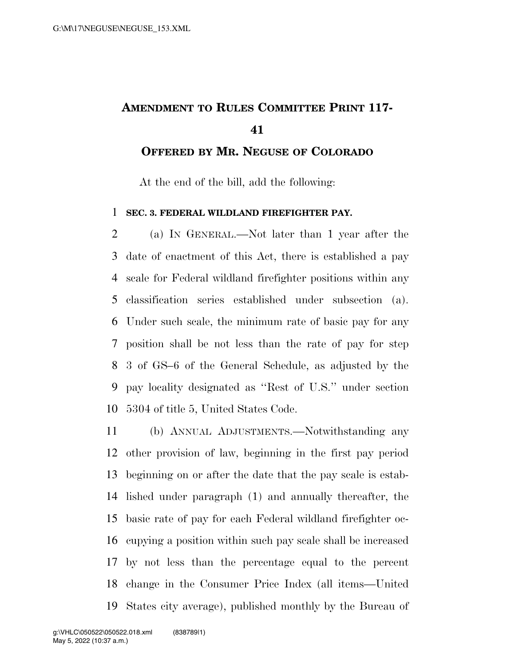## **AMENDMENT TO RULES COMMITTEE PRINT 117-**

**OFFERED BY MR. NEGUSE OF COLORADO**

At the end of the bill, add the following:

## **SEC. 3. FEDERAL WILDLAND FIREFIGHTER PAY.**

 (a) IN GENERAL.—Not later than 1 year after the date of enactment of this Act, there is established a pay scale for Federal wildland firefighter positions within any classification series established under subsection (a). Under such scale, the minimum rate of basic pay for any position shall be not less than the rate of pay for step 3 of GS–6 of the General Schedule, as adjusted by the pay locality designated as ''Rest of U.S.'' under section 5304 of title 5, United States Code.

 (b) ANNUAL ADJUSTMENTS.—Notwithstanding any other provision of law, beginning in the first pay period beginning on or after the date that the pay scale is estab- lished under paragraph (1) and annually thereafter, the basic rate of pay for each Federal wildland firefighter oc- cupying a position within such pay scale shall be increased by not less than the percentage equal to the percent change in the Consumer Price Index (all items—United States city average), published monthly by the Bureau of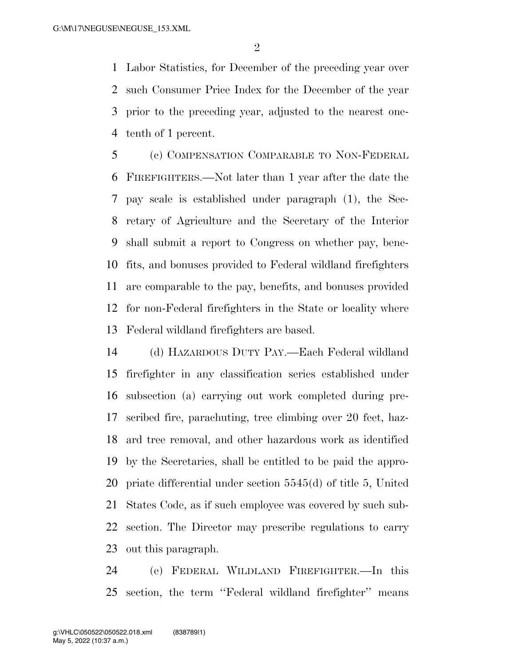Labor Statistics, for December of the preceding year over such Consumer Price Index for the December of the year prior to the preceding year, adjusted to the nearest one-tenth of 1 percent.

 (c) COMPENSATION COMPARABLE TO NON-FEDERAL FIREFIGHTERS.—Not later than 1 year after the date the pay scale is established under paragraph (1), the Sec- retary of Agriculture and the Secretary of the Interior shall submit a report to Congress on whether pay, bene- fits, and bonuses provided to Federal wildland firefighters are comparable to the pay, benefits, and bonuses provided for non-Federal firefighters in the State or locality where Federal wildland firefighters are based.

 (d) HAZARDOUS DUTY PAY.—Each Federal wildland firefighter in any classification series established under subsection (a) carrying out work completed during pre- scribed fire, parachuting, tree climbing over 20 feet, haz- ard tree removal, and other hazardous work as identified by the Secretaries, shall be entitled to be paid the appro- priate differential under section 5545(d) of title 5, United States Code, as if such employee was covered by such sub- section. The Director may prescribe regulations to carry out this paragraph.

 (e) FEDERAL WILDLAND FIREFIGHTER.—In this section, the term ''Federal wildland firefighter'' means